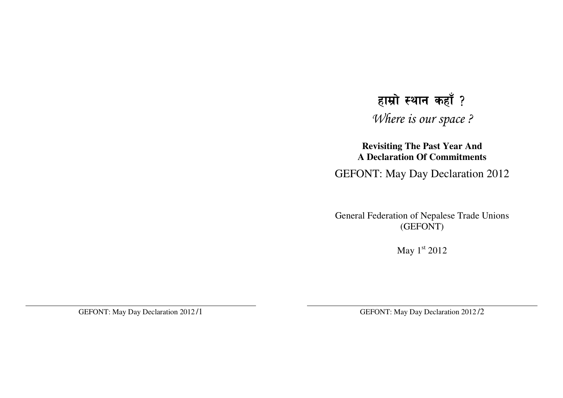## हाम्रो स्थान कहाँ ?

Where is our space ?

**Revisiting The Past Year And A Declaration Of Commitments**

GEFONT: May Day Declaration 2012

General Federation of Nepalese Trade Unions (GEFONT)

May  $1<sup>st</sup> 2012$ 

GEFONT: May Day Declaration 2012 /1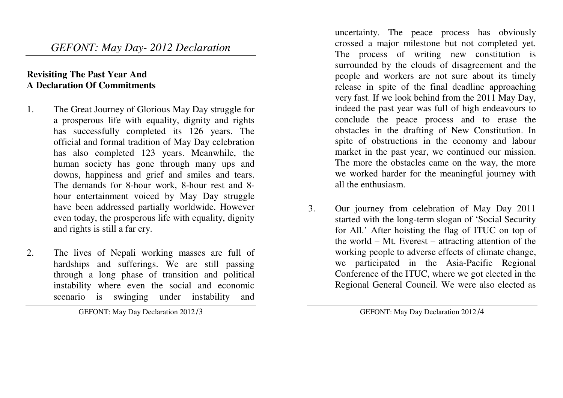*GEFONT: May Day- 2012 Declaration* 

## **Revisiting The Past Year And A Declaration Of Commitments**

- 1. The Great Journey of Glorious May Day struggle for a prosperous life with equality, dignity and rights has successfully completed its 126 years. The official and formal tradition of May Day celebration has also completed 123 years. Meanwhile, the human society has gone through many ups and downs, happiness and grief and smiles and tears. The demands for 8-hour work, 8-hour rest and 8 hour entertainment voiced by May Day struggle have been addressed partially worldwide. However even today, the prosperous life with equality, dignity and rights is still a far cry.
- 2. The lives of Nepali working masses are full of hardships and sufferings. We are still passing through a long phase of transition and political instability where even the social and economic scenario is swinging under instability and

GEFONT: May Day Declaration 2012 /3

uncertainty. The peace process has obviously crossed a major milestone but not completed yet. The process of writing new constitution is surrounded by the clouds of disagreement and the people and workers are not sure about its timely release in spite of the final deadline approaching very fast. If we look behind from the 2011 May Day,indeed the past year was full of high endeavours to conclude the peace process and to erase the obstacles in the drafting of New Constitution. In spite of obstructions in the economy and labour market in the past year, we continued our mission. The more the obstacles came on the way, the more we worked harder for the meaningful journey with all the enthusiasm.

3. Our journey from celebration of May Day 2011 started with the long-term slogan of 'Social Security for All.' After hoisting the flag of ITUC on top of the world – Mt. Everest – attracting attention of the working people to adverse effects of climate change, we participated in the Asia-Pacific Regional Conference of the ITUC, where we got elected in theRegional General Council. We were also elected as

GEFONT: May Day Declaration 2012 /4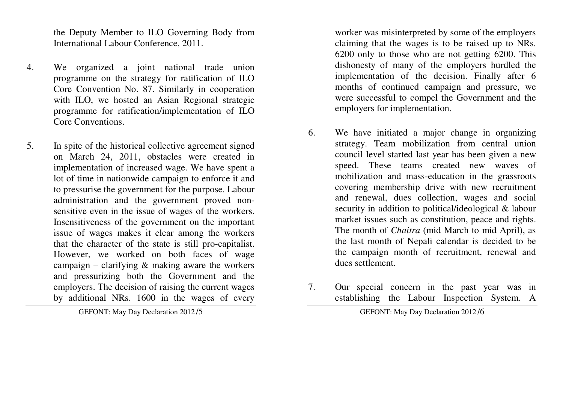the Deputy Member to ILO Governing Body from International Labour Conference, 2011.

- 4. We organized a joint national trade union programme on the strategy for ratification of ILO Core Convention No. 87. Similarly in cooperation with ILO, we hosted an Asian Regional strategic programme for ratification/implementation of ILO Core Conventions.
- 5. In spite of the historical collective agreement signed on March 24, 2011, obstacles were created in implementation of increased wage. We have spent a lot of time in nationwide campaign to enforce it and to pressurise the government for the purpose. Labour administration and the government proved nonsensitive even in the issue of wages of the workers. Insensitiveness of the government on the important issue of wages makes it clear among the workers that the character of the state is still pro-capitalist. However, we worked on both faces of wage campaign – clarifying  $\&$  making aware the workers and pressurizing both the Government and the employers. The decision of raising the current wages by additional NRs. 1600 in the wages of every

GEFONT: May Day Declaration 2012 /5

worker was misinterpreted by some of the employers claiming that the wages is to be raised up to NRs. 6200 only to those who are not getting 6200. This dishonesty of many of the employers hurdled the implementation of the decision. Finally after 6 months of continued campaign and pressure, we were successful to compel the Government and the employers for implementation.

- 6. We have initiated a major change in organizing strategy. Team mobilization from central union council level started last year has been given a new speed. These teams created new waves of mobilization and mass-education in the grassroots covering membership drive with new recruitment and renewal, dues collection, wages and social security in addition to political/ideological & labour market issues such as constitution, peace and rights. The month of *Chaitra* (mid March to mid April), as the last month of Nepali calendar is decided to be the campaign month of recruitment, renewal and dues settlement.
- 7. Our special concern in the past year was in establishing the Labour Inspection System. A

GEFONT: May Day Declaration 2012 /6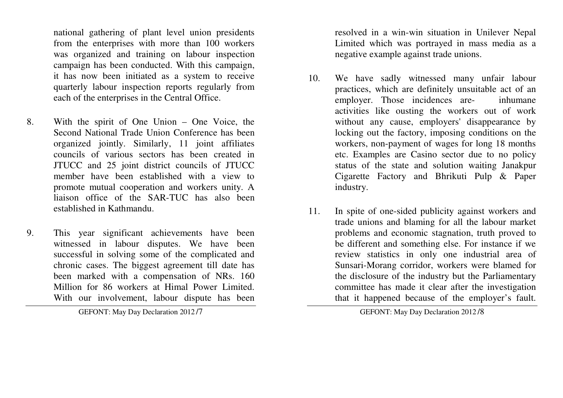national gathering of plant level union presidents from the enterprises with more than 100 workers was organized and training on labour inspection campaign has been conducted. With this campaign, it has now been initiated as a system to receive quarterly labour inspection reports regularly from each of the enterprises in the Central Office.

- 8. With the spirit of One Union One Voice, the Second National Trade Union Conference has been organized jointly. Similarly, 11 joint affiliates councils of various sectors has been created in JTUCC and 25 joint district councils of JTUCC member have been established with a view to promote mutual cooperation and workers unity. A liaison office of the SAR-TUC has also been established in Kathmandu.
- 9. This year significant achievements have been witnessed in labour disputes. We have been successful in solving some of the complicated and chronic cases. The biggest agreement till date has been marked with a compensation of NRs. 160 Million for 86 workers at Himal Power Limited. With our involvement, labour dispute has been

GEFONT: May Day Declaration 2012 /7

resolved in a win-win situation in Unilever Nepal Limited which was portrayed in mass media as a negative example against trade unions.

- 10. We have sadly witnessed many unfair labour practices, which are definitely unsuitable act of an employer. Those incidences are- inhumane activities like ousting the workers out of work without any cause, employers' disappearance by locking out the factory, imposing conditions on the workers, non-payment of wages for long 18 months etc. Examples are Casino sector due to no policy status of the state and solution waiting Janakpur Cigarette Factory and Bhrikuti Pulp & Paper industry.
- 11. In spite of one-sided publicity against workers and trade unions and blaming for all the labour market problems and economic stagnation, truth proved to be different and something else. For instance if we review statistics in only one industrial area of Sunsari-Morang corridor, workers were blamed for the disclosure of the industry but the Parliamentary committee has made it clear after the investigationthat it happened because of the employer's fault.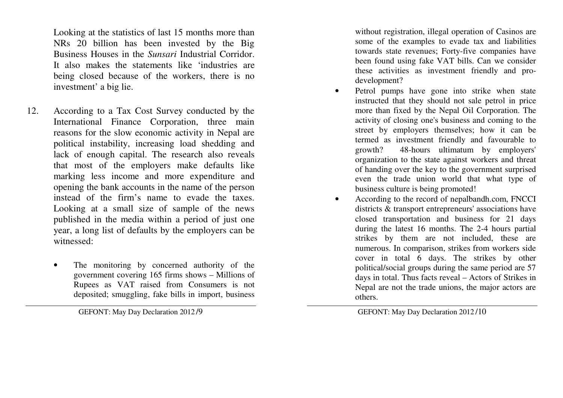Looking at the statistics of last 15 months more than NRs 20 billion has been invested by the Big Business Houses in the *Sunsari* Industrial Corridor. It also makes the statements like 'industries are being closed because of the workers, there is no investment' a big lie.

- 12. According to a Tax Cost Survey conducted by the International Finance Corporation, three main reasons for the slow economic activity in Nepal are political instability, increasing load shedding and lack of enough capital. The research also reveals that most of the employers make defaults like marking less income and more expenditure and opening the bank accounts in the name of the person instead of the firm's name to evade the taxes. Looking at a small size of sample of the news published in the media within a period of just one year, a long list of defaults by the employers can be witnessed:
	- • The monitoring by concerned authority of the government covering 165 firms shows – Millions of Rupees as VAT raised from Consumers is not deposited; smuggling, fake bills in import, business

without registration, illegal operation of Casinos are some of the examples to evade tax and liabilities towards state revenues; Forty-five companies have been found using fake VAT bills. Can we consider these activities as investment friendly and prodevelopment?

- • Petrol pumps have gone into strike when state instructed that they should not sale petrol in price more than fixed by the Nepal Oil Corporation. The activity of closing one's business and coming to the street by employers themselves; how it can be termed as investment friendly and favourable to growth? 48-hours ultimatum by employers' organization to the state against workers and threat of handing over the key to the government surprised even the trade union world that what type of business culture is being promoted!
- • According to the record of nepalbandh.com, FNCCI districts & transport entrepreneurs' associations have closed transportation and business for 21 days during the latest 16 months. The 2-4 hours partial strikes by them are not included, these are numerous. In comparison, strikes from workers side cover in total 6 days. The strikes by other political/social groups during the same period are 57 days in total. Thus facts reveal – Actors of Strikes in Nepal are not the trade unions, the major actors are others.

GEFONT: May Day Declaration 2012 /9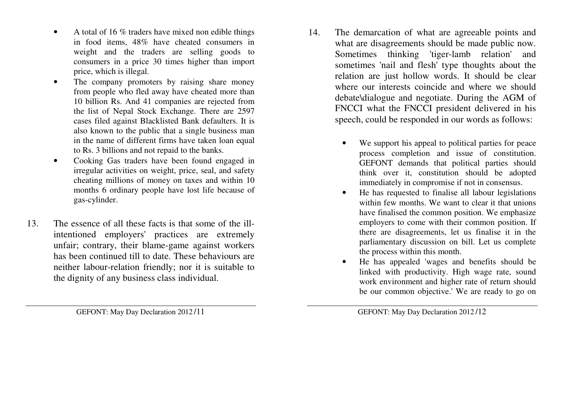- • A total of 16 % traders have mixed non edible things in food items, 48% have cheated consumers in weight and the traders are selling goods to consumers in a price 30 times higher than import price, which is illegal.
- • The company promoters by raising share money from people who fled away have cheated more than 10 billion Rs. And 41 companies are rejected from the list of Nepal Stock Exchange. There are 2597 cases filed against Blacklisted Bank defaulters. It is also known to the public that a single business man in the name of different firms have taken loan equal to Rs. 3 billions and not repaid to the banks.
- • Cooking Gas traders have been found engaged in irregular activities on weight, price, seal, and safety cheating millions of money on taxes and within 10 months 6 ordinary people have lost life because of gas-cylinder.
- 13. The essence of all these facts is that some of the illintentioned employers' practices are extremely unfair; contrary, their blame-game against workers has been continued till to date. These behaviours are neither labour-relation friendly; nor it is suitable to the dignity of any business class individual.
- 14. The demarcation of what are agreeable points and what are disagreements should be made public now. Sometimes thinking 'tiger-lamb relation' and sometimes 'nail and flesh' type thoughts about the relation are just hollow words. It should be clear where our interests coincide and where we should debate\dialogue and negotiate. During the AGM of FNCCI what the FNCCI president delivered in his speech, could be responded in our words as follows:
	- • We support his appeal to political parties for peace process completion and issue of constitution. GEFONT demands that political parties should think over it, constitution should be adopted immediately in compromise if not in consensus.
	- He has requested to finalise all labour legislations •within few months. We want to clear it that unions have finalised the common position. We emphasize employers to come with their common position. If there are disagreements, let us finalise it in the parliamentary discussion on bill. Let us complete the process within this month.
	- • He has appealed 'wages and benefits should be linked with productivity. High wage rate, sound work environment and higher rate of return should be our common objective.' We are ready to go on

GEFONT: May Day Declaration 2012 /11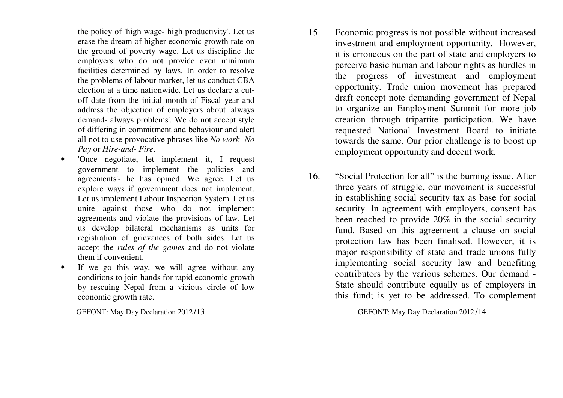the policy of 'high wage- high productivity'. Let us erase the dream of higher economic growth rate on the ground of poverty wage. Let us discipline the employers who do not provide even minimum facilities determined by laws. In order to resolve the problems of labour market, let us conduct CBA election at a time nationwide. Let us declare a cut off date from the initial month of Fiscal year and address the objection of employers about 'always demand- always problems'. We do not accept style of differing in commitment and behaviour and alert all not to use provocative phrases like *No work- No Pay* or *Hire-and- Fire*.

- 'Once negotiate, let implement it, I request •government to implement the policies and agreements'- he has opined. We agree. Let us explore ways if government does not implement. Let us implement Labour Inspection System. Let us unite against those who do not implement agreements and violate the provisions of law. Let us develop bilateral mechanisms as units for registration of grievances of both sides. Let us accept the *rules of the games* and do not violate them if convenient.
- If we go this way, we will agree without any •conditions to join hands for rapid economic growth by rescuing Nepal from a vicious circle of low economic growth rate.

GEFONT: May Day Declaration 2012 /13

- 15. Economic progress is not possible without increased investment and employment opportunity. However, it is erroneous on the part of state and employers to perceive basic human and labour rights as hurdles in the progress of investment and employment opportunity. Trade union movement has prepared draft concept note demanding government of Nepal to organize an Employment Summit for more job creation through tripartite participation. We have requested National Investment Board to initiate towards the same. Our prior challenge is to boost up employment opportunity and decent work.
- 16. "Social Protection for all" is the burning issue. After three years of struggle, our movement is successful in establishing social security tax as base for social security. In agreement with employers, consent has been reached to provide 20% in the social security fund. Based on this agreement a clause on social protection law has been finalised. However, it is major responsibility of state and trade unions fully implementing social security law and benefiting contributors by the various schemes. Our demand - State should contribute equally as of employers in this fund; is yet to be addressed. To complement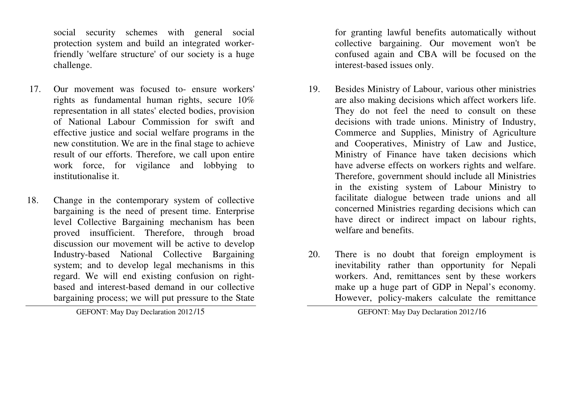social security schemes with general social protection system and build an integrated workerfriendly 'welfare structure' of our society is a huge challenge.

- 17. Our movement was focused to- ensure workers' rights as fundamental human rights, secure 10% representation in all states' elected bodies, provision of National Labour Commission for swift and effective justice and social welfare programs in the new constitution. We are in the final stage to achieve result of our efforts. Therefore, we call upon entire work force, for vigilance and lobbying to institutionalise it.
- 18. Change in the contemporary system of collective bargaining is the need of present time. Enterprise level Collective Bargaining mechanism has been proved insufficient. Therefore, through broad discussion our movement will be active to develop Industry-based National Collective Bargaining system; and to develop legal mechanisms in this regard. We will end existing confusion on rightbased and interest-based demand in our collective bargaining process; we will put pressure to the State

GEFONT: May Day Declaration 2012 /15

for granting lawful benefits automatically without collective bargaining. Our movement won't be confused again and CBA will be focused on the interest-based issues only.

- 19. Besides Ministry of Labour, various other ministries are also making decisions which affect workers life. They do not feel the need to consult on these decisions with trade unions. Ministry of Industry, Commerce and Supplies, Ministry of Agriculture and Cooperatives, Ministry of Law and Justice, Ministry of Finance have taken decisions which have adverse effects on workers rights and welfare. Therefore, government should include all Ministries in the existing system of Labour Ministry to facilitate dialogue between trade unions and all concerned Ministries regarding decisions which can have direct or indirect impact on labour rights, welfare and benefits.
- 20. There is no doubt that foreign employment is inevitability rather than opportunity for Nepali workers. And, remittances sent by these workers make up a huge part of GDP in Nepal's economy. However, policy-makers calculate the remittance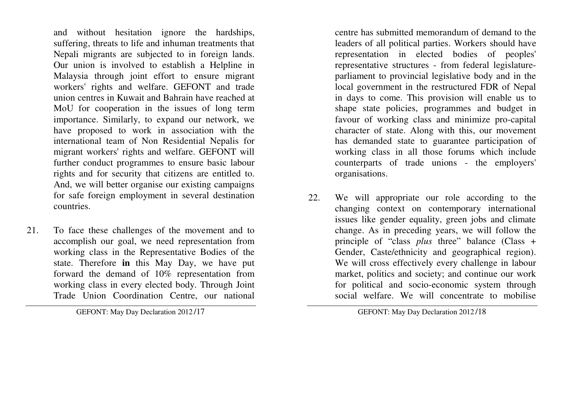and without hesitation ignore the hardships, suffering, threats to life and inhuman treatments that Nepali migrants are subjected to in foreign lands. Our union is involved to establish a Helpline in Malaysia through joint effort to ensure migrant workers' rights and welfare. GEFONT and trade union centres in Kuwait and Bahrain have reached at MoU for cooperation in the issues of long term importance. Similarly, to expand our network, we have proposed to work in association with the international team of Non Residential Nepalis for migrant workers' rights and welfare. GEFONT will further conduct programmes to ensure basic labour rights and for security that citizens are entitled to. And, we will better organise our existing campaigns for safe foreign employment in several destination countries.

21. To face these challenges of the movement and to accomplish our goal, we need representation from working class in the Representative Bodies of the state. Therefore **in** this May Day, we have put forward the demand of 10% representation from working class in every elected body. Through Joint Trade Union Coordination Centre, our national

GEFONT: May Day Declaration 2012 /17

centre has submitted memorandum of demand to the leaders of all political parties. Workers should have representation in elected bodies of peoples' representative structures - from federal legislatureparliament to provincial legislative body and in the local government in the restructured FDR of Nepal in days to come. This provision will enable us to shape state policies, programmes and budget in favour of working class and minimize pro-capital character of state. Along with this, our movement has demanded state to guarantee participation of working class in all those forums which include counterparts of trade unions - the employers' organisations.

22. We will appropriate our role according to the changing context on contemporary international issues like gender equality, green jobs and climate change. As in preceding years, we will follow the principle of "class *plus* three" balance (Class + Gender, Caste/ethnicity and geographical region). We will cross effectively every challenge in labour market, politics and society; and continue our work for political and socio-economic system through social welfare. We will concentrate to mobilise